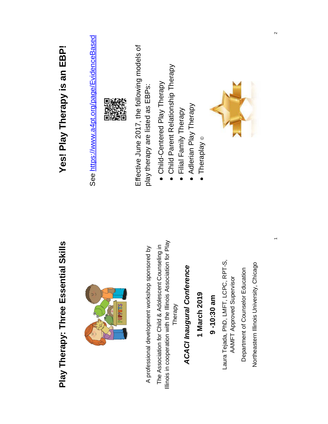# Play Therapy: Three Essential Skills **Play Therapy: Three Essential Skills**



A professional development workshop sponsored by A professional development workshop sponsored by

Illinois in cooperation with the Illinois Association for Play Illinois in cooperation with the Illinois Association for Play The Association for Child & Adolescent Counseling in The Association for Child & Adolescent Counseling in Therapy

## **ACACI Inaugural Conference** *ACACI Inaugural Conference*

### **1 March 2019**

Laura Tejada, PhD, LMFT, LCPC, RPT-S, **9 -10:30 am**<br>Laura Tejada, PhD, LMFT, LCPC, RPT-S, AAMFT Approved Supervisor AAMFT Approved Supervisor

Department of Counselor Education Department of Counselor Education

Northeastern Illinois University, Chicago Northeastern Illinois University, Chicago  $\overline{\phantom{a}}$ 

# Yes! Play Therapy is an EBP! **Yes! Play Therapy is an EBP!**

See https://www.a4pt.org/page/EvidenceBased See <https://www.a4pt.org/page/EvidenceBased>



Effective June 2017, the following models of Effective June 2017, the following models of play therapy are listed as EBPs: play therapy are listed as EBPs:

- Child-Centered Play Therapy Child-Centered Play Therapy
- Child Parent Relationship Therapy Child Parent Relationship Therapy
	- Filial Family Therapy Filial Family Therapy
		- Adlerian Play Therapy Adlerian Play Therapy
			- $\bullet$  Theraplay  $\circ$ Theraplay ©

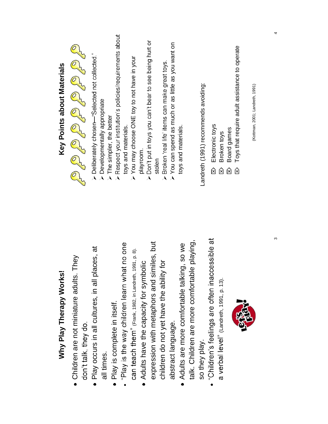| Why Play Therapy Works!                                                               | Key Points about Materials                                                                                   |
|---------------------------------------------------------------------------------------|--------------------------------------------------------------------------------------------------------------|
| : They<br>• Children are not miniature adults<br>don't talk, they do.                 | O CO CO CO CO CO CO CO                                                                                       |
| places, at<br>· Play occurs in all cultures, in all<br>all times.                     | $\triangleright$ Deliberately chosen—"Selected not collected."<br>> Developmentally appropriate              |
| "Play is the way children learn what no one<br>Play is complete in itself.            | > Respect your institution's policies/requirements about<br>> The simpler, the better<br>toys and materials. |
| Can teach them" (Frank, 1982, in Landreth, 1991, p. 8).                               | You may choose ONE toy to not have in your<br>playroom.<br>$\lambda$                                         |
| expression with metaphors and similes, but<br>• Adults have the capacity for symbolic | > Don't put in toys you can't bear to see being hurt or<br>stolen                                            |
| ity for<br>children do not yet have the abili                                         | > Broken 'real life' items can make great toys.                                                              |
| abstract language.                                                                    | $\triangleright$ You can spend as much or as little as you want on                                           |
| · Adults are more comfortable talking, so we                                          | toys and materials.                                                                                          |
| talk. Children are more comfortable playing,                                          |                                                                                                              |
| so they play.                                                                         | Landreth (1991) recommends avoiding:                                                                         |
| "Children's feelings are often inaccessible at                                        | Electronic toys<br>$\hat{\boxtimes}$                                                                         |
| a verbal level" (Landreth, 1991, p. 13).                                              | Broken toys<br>囟                                                                                             |
|                                                                                       | Board games<br>囟                                                                                             |
| <b>BIRDER</b>                                                                         | Toys that require adult assistance to operate<br>囟                                                           |
|                                                                                       | (Kottman, 2001; Landreth, 1991)                                                                              |
|                                                                                       |                                                                                                              |

4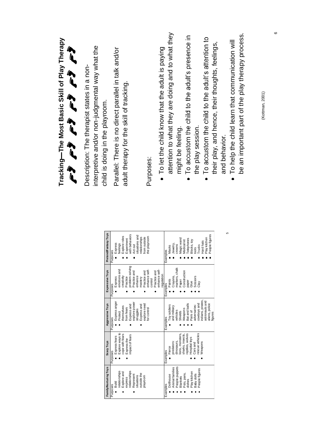| Tracking-The Most Basic Skill of Play Therapy<br>$\begin{array}{ccc} \mathcal{L} & \mathcal{L} & \mathcal{L} & \mathcal{L} & \mathcal{L} & \mathcal{L} & \mathcal{L} & \mathcal{L} & \mathcal{L} & \mathcal{L} & \mathcal{L} & \mathcal{L} & \mathcal{L} & \mathcal{L} & \mathcal{L} & \mathcal{L} & \mathcal{L} & \mathcal{L} & \mathcal{L} & \mathcal{L} & \mathcal{L} & \mathcal{L} & \mathcal{L} & \mathcal{L} & \mathcal{L} & \mathcal{L} & \mathcal{L} & \mathcal{L} & \mathcal{L} & \mathcal{L} & \mathcal$ | interpretive and/or non-judgmental way what the<br>Description: The therapist states in a non-<br>child is doing in the playroom. |                       | Parallel: There is no direct parallel in talk and/or<br>adult therapy for the skill of tracking.                               | $\bullet$ To let the child know that the adult is paying<br>Purposes:                                | attention to what they are doing and to what they<br>be an important part of the play therapy process.<br>To accustom the child to the adult's presence in<br>To accustom the child to the adult's attention to<br>To help the child learn that communication will<br>their play, and hence, their thoughts, feelings,<br>(Kottman, 2001)<br>the play session.<br>might be feeling.<br>and behavior. | ဖ |
|--------------------------------------------------------------------------------------------------------------------------------------------------------------------------------------------------------------------------------------------------------------------------------------------------------------------------------------------------------------------------------------------------------------------------------------------------------------------------------------------------------------------|-----------------------------------------------------------------------------------------------------------------------------------|-----------------------|--------------------------------------------------------------------------------------------------------------------------------|------------------------------------------------------------------------------------------------------|------------------------------------------------------------------------------------------------------------------------------------------------------------------------------------------------------------------------------------------------------------------------------------------------------------------------------------------------------------------------------------------------------|---|
|                                                                                                                                                                                                                                                                                                                                                                                                                                                                                                                    |                                                                                                                                   | Pretend/Fantasy Toys  | with behaviors<br>situations and<br>Explore roles<br>relationships<br>Experiment<br>Express<br>feelings<br>Act out<br>Purposes | the playroom<br>from outside                                                                         | 5<br>People figures<br>Magic wand<br>Play kitchen<br>Telephones<br>Medical kit<br>Blocks, toy<br>Hard hats<br>Jewelry,<br>crowns<br>Trucks<br>Masks<br>tools<br>Examples                                                                                                                                                                                                                             |   |
|                                                                                                                                                                                                                                                                                                                                                                                                                                                                                                                    |                                                                                                                                   | Expressive Toys       | problem-solving<br>emotions and<br>Practice and<br>creativity<br>enhance<br>Express<br>Practice<br>mastery<br>Purposes         | enhance self-<br>enhance self-<br>Practice and<br>Practice and<br>regulation<br>control<br>$\bullet$ | markers, chall<br>Construction<br>Crayons,<br><b>Scissors</b><br>Paints<br>Paper<br>paper<br>Glue<br>Clay<br>Examples                                                                                                                                                                                                                                                                                |   |
|                                                                                                                                                                                                                                                                                                                                                                                                                                                                                                                    |                                                                                                                                   | Aggressive Toys       | Express anger<br>explore power<br>Express and<br>Express and<br>themselves<br>from fears<br>struggles<br>Protect<br>Purposes   | explore need<br>for control                                                                          | indians, pirates<br>astronauts and<br>aliens, police<br>Bat and balls<br>cowboys and<br>Toy soldiers<br>adversaries:<br>and military<br>Weapons<br>vehides<br>Pairs of<br>Shields<br>figures<br>Examples                                                                                                                                                                                             |   |
|                                                                                                                                                                                                                                                                                                                                                                                                                                                                                                                    |                                                                                                                                   | Scary Toys            | Explore ways to<br>cope with fears<br>impact of fears<br>Express fears<br>Express the<br>Purposes                              |                                                                                                      | rescue vehicles<br>lions, monsters<br>reptiles, wolves<br>sharks, insects<br>Hospital toys<br>predators:<br>dinosaurs<br>Weapons<br>Cars and<br>Fierce<br>Examples<br>$\bullet$                                                                                                                                                                                                                      |   |
|                                                                                                                                                                                                                                                                                                                                                                                                                                                                                                                    |                                                                                                                                   | Family/Nurturing Toys | relationships<br>relationships<br>Explore and<br>outside the<br>Represent<br>situations<br>express<br>Build<br>Purposes<br>C   | playroom                                                                                             | People puppets<br>Animal families<br>People figures<br>Play kitchen<br>Baby dolls<br>Pots, pans,<br>Dollhouse<br>Blankets<br>dishes<br>Examples                                                                                                                                                                                                                                                      |   |

- To let the child know that the adult is paying attention to what they are doing and to what they
- 
- their play, and hence, their thoughts, feelings,
- To help the child learn that communication will be an important part of the play therapy process.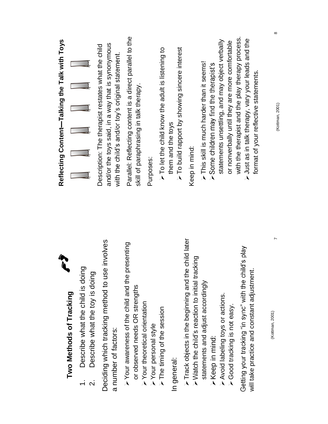| Reflecting Content-Talking the Talk with Toys |                         |                                                                                         | and/or the toys said, in a way that is synonymous<br>Description: The therapist restates what the child<br>with the child's and/or toy's original statement. | Parallel: Reflecting content is a direct parallel to the<br>skill of paraphrasing in talk therapy.                                                    | Purposes:            | $\triangleright$ To let the child know the adult is listening to | $\triangleright$ To build rapport by showing sincere interest<br>them and the toys | Keep in mind:                                                                                                           | > This skill is much harder than it seems!<br>> Some children may find the therapist's | statements unsettling, and may object verbally    | or nonverbally until they are more comfortable | with the therapist and the play therapy process.<br>> Just as in talk therapy, vary your leads and the<br>format of your reflective statements. | $\infty$<br>(Kottman, 2001) |
|-----------------------------------------------|-------------------------|-----------------------------------------------------------------------------------------|--------------------------------------------------------------------------------------------------------------------------------------------------------------|-------------------------------------------------------------------------------------------------------------------------------------------------------|----------------------|------------------------------------------------------------------|------------------------------------------------------------------------------------|-------------------------------------------------------------------------------------------------------------------------|----------------------------------------------------------------------------------------|---------------------------------------------------|------------------------------------------------|-------------------------------------------------------------------------------------------------------------------------------------------------|-----------------------------|
| in 2                                          | Two Methods of Tracking | Describe what the child is doing<br>Describe what the toy is doing<br>$\dot{\mathsf n}$ | Deciding which tracking method to use involves<br>a number of factors:                                                                                       | presenting<br>$\triangleright$ Your awareness of the child and the<br>or observed needs OR strengths<br>$\triangleright$ Your theoretical orientation | >Your personal style | The timing of the session                                        | In general:                                                                        | $\triangleright$ Track objects in the beginning and the child later<br>> Watch the child's reaction to initial tracking | statements and adjust accordingly                                                      | Avoid labeling toys or actions.<br>>Keep in mind: | ≻Good tracking is not easy.                    | Getting your tracking "in sync" with the child's play<br>will take practice and constant adjustment.                                            | (Kottman, 2001)             |

 $\infty$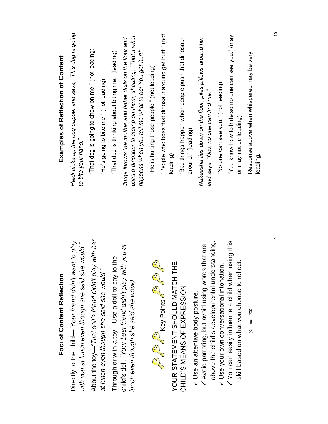| Foci of Content Reflection                                                                                                              | Examples of Reflection of Content                                                                                                                                            |
|-----------------------------------------------------------------------------------------------------------------------------------------|------------------------------------------------------------------------------------------------------------------------------------------------------------------------------|
| Directly to the child—"Your friend didn't want to play<br>with you at lunch even though she said she would."                            | Heidi picks up the dog puppet and says, "This dog is going<br>to bite your hand."                                                                                            |
| About the toy—"That doll's friend didn't play with her                                                                                  | "That dog is going to chew on me." (not leading)                                                                                                                             |
| at lunch even though she said she would."                                                                                               | "He's going to bite me." (not leading)                                                                                                                                       |
| the<br>Through or with a toy-Use a doll to say to                                                                                       | "That dog is thinking about biting me." (leading)                                                                                                                            |
| child's doll, "Your best friend didn't play with you at<br>lunch even though she said she would."                                       | uses a dinosaur to stomp on them, shouting, "That's what<br>Jorge throws the mother and father dolls on the floor and<br>happens when you tell me what to do! You get hurt!" |
|                                                                                                                                         | "He is hurting those people." (not leading)                                                                                                                                  |
| <b>P</b> C Key Points C C C C<br>Ш<br>YOUR STATEMENT SHOULD MATCH TH                                                                    | "People who boss that dinosaur around get hurt." (not<br>leading)                                                                                                            |
| CHILD'S MEANS OF EXPRESSION!                                                                                                            | "Bad things happen when people push that dinosaur<br>around." (leading)                                                                                                      |
| above the child's developmental understanding.<br>V Avoid parroting, but avoid using words that are<br>V Use an attentive body posture. | Nakeesha lies down on the floor, piles pillows around her<br>and says, "Now no one can find me."                                                                             |
| V Use your own conversational intonation.                                                                                               | No one can see you." (not leading)                                                                                                                                           |
| $\checkmark$ You can easily influence a child when using this<br>skill based on what you choose to reflect.                             | "You know how to hide so no one can see you." (may<br>or may not be leading)                                                                                                 |
| (Kottman, 2001)                                                                                                                         | Response above when whispered may be very<br>leading.                                                                                                                        |

 $\tilde{0}$ 

 $\circ$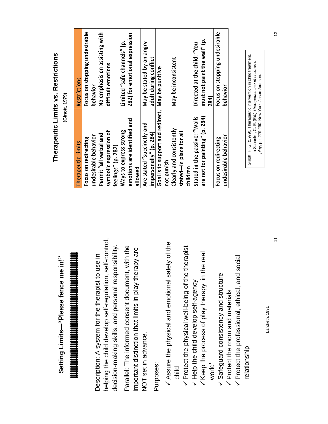Setting Limits-"Please fence me in!" **Setting Limits**

# 

helping the child develop self-regulation, self-control, helping the child develop self-regulation, self-control, decision-making skills, and personal responsibility. decision-making skills, and personal responsibility. Description: A system for the therapist to use in Description: A system for the therapist to use in

Parallel: The informed consent document, with the Parallel: The informed consent document, with the important distinction that limits in play therapy are important distinction that limits in play therapy are NOT set in advance. NOT set in advance.

Purposes:

- $\checkmark$  Assure the physical and emotional safety of the Assure the physical and emotional safety of the
	- child<br>⁄ Protect the physical well-being of the therapist Protect the physical well-being of the therapist
		- V Keep the process of play therapy 'in the real / Help the child develop self-agency Help the child develop self-agency
			- world'
				- V Safeguard consistency and structure Safeguard consistency and structure
					- Protect the room and materials Protect the room and materials
- Protect the professional, ethical, and social V Protect the professional, ethical, and social relationship relationship

Landreth, 1991 Landreth, 1991

### Therapeutic Limits vs. Restrictions **Therapeutic Limits vs. Restrictions** between the counselor, child, and caregivers in the caregivers of caregivers in the caregiver  $\cdot$

(Ginott, 1979) **(Ginott, 1979)**

| Therapeutic Limits                               | <b>Restrictions</b>           |
|--------------------------------------------------|-------------------------------|
| Focus on redirecting                             | Focus on stopping undesirable |
| undesirable behavior                             | behavior                      |
| Permit "all verbal and                           | No emphasis on assisting with |
| symbolic expression of                           | difficult emotions            |
| feelings" (p. 282)                               |                               |
| Ways to express strong                           | Limited "safe channels" (p.   |
| emotions are identified and                      | 282) for emotional expression |
| allowed                                          |                               |
| Are stated "succinctly and                       | May be stated by an angry     |
| impersonally" (p. 284)                           | adult during conflict         |
| Goal is to support and redirect, May be punitive |                               |
| not punish                                       |                               |
| Clearly and consistently                         | May be inconsistent           |
| stated-in place for all                          |                               |
| children                                         |                               |
| Stated in the passive: "Walls                    | Directed at the child: "You   |
| are not for painting" (p. 284)                   | must not paint the wall" (p.  |
|                                                  | 284)                          |
| Focus on redirecting                             | Focus on stopping undesirable |
| undesirable behavior                             | behavior                      |

Ginott, H. G. (1979). Therapeutic intervention in child treatment. Ginott, H. G. (1979). Therapeutic intervention in child treatment. In Schaefer, C. E. (Ed.) Therapeutic use of children's p/ay, pp. 279-290. New York: Jason Aronson. *play*, pp. 279-290. New York: Jason Aronson. In Schaefer, C. E. (Ed.)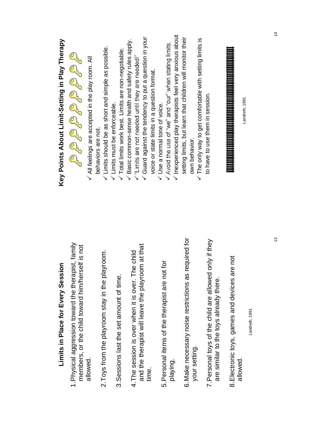### Inexperienced play therapists feel very anxious about  $\checkmark$  Inexperienced play therapists feel very anxious about Guard against the tendency to put a question in your setting limits, but learn that children will monitor their  $\checkmark$  Guard against the tendency to put a question in your setting limits, but learn that children will monitor their The only way to get comfortable with setting limits is  $\times$  The only way to get comfortable with setting limits is Key Points About Limit-Setting in Play Therapy **Key Points About Limit-Setting in Play Therapy**  $\checkmark$  Basic common-sense health and safety rules apply. Basic common-sense health and safety rules apply. / Avoid the use of "we" and "our" when stating limits.  $\checkmark$  Limits should be as short and simple as possible. Limits should be as short and simple as possible. V Total limits work best. Limits are non-negotiable. Total limits work best. Limits are non-negotiable.  $\checkmark$  All feelings are accepted in the play room. All All feelings are accepted in the play room. All  $\checkmark$  "Limits are not needed until they are needed!" voice or state limits in a question format. voice or state limits in a question format. to have to use them in session. to have to use them in session. Landreth, 1991 Landreth, 1991Limits must be enforceable.  $\checkmark$  Limits must be enforceable.  $\checkmark$  Use a normal tone of voice. Use a normal tone of voice. behaviors are not. behaviors are not. own behavior. own behavior. 6.Make necessary noise restrictions as required for 7.Personal toys of the child are allowed only if they 6. Make necessary noise restrictions as required for 7. Personal toys of the child are allowed only if they 1.Physical aggression toward the therapist, family 1. Physical aggression toward the therapist, family and the therapist will leave the playroom at that members, or the child toward him/herself is not members, or the child toward him/herself is not and the therapist will leave the playroom at that 4.The session is over when it is over. The child 2. Toys from the playroom stay in the playroom. 4. The session is over when it is over. The child 2.Toys from the playroom stay in the playroom. 8.Electronic toys, games and devices are not 8. Electronic toys, games and devices are not 5.Personal items of the therapist are not for 5. Personal items of the therapist are not for Limits in Place for Every Session **Limits in Place for Every Session** 3.Sessions last the set amount of time. 3. Sessions last the set amount of time. are similar to the toys already there. are similar to the toys already there.

time.

playing.

your setting.

your setting.

allowed.

andreth, 1991 Landreth, 1991

allowed.

 $\dot{4}$ 

13